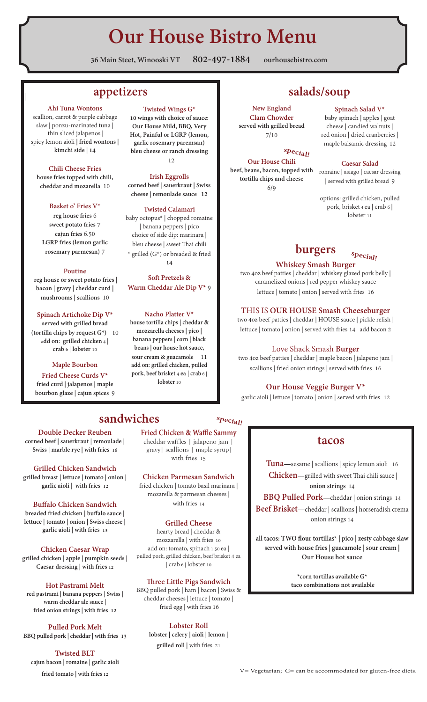# **Our House Bistro Menu**

**36 Main Steet, Winooski VT 802-497-1884 ourhousebistro.com**

# **appetizers**

#### **Ahi Tuna Wontons**

|

scallion, carrot & purple cabbage slaw | ponzu-marinated tuna | thin sliced jalapenos | spicy lemon aioli **| fried wontons | kimchi side | 14**

#### **Chili Cheese Fries**

**house fries topped with chili, cheddar and mozarella** 10

#### **Basket o' Fries V\***

**reg house fries** 6 **sweet potato fries** 7 **cajun fries** 6.50 **LGRP fries (lemon garlic rosemary parmesan)** 7

#### **Poutine**

 **reg house or sweet potato fries | bacon | gravy | cheddar curd | mushrooms | scallions** 10

#### **Spinach Artichoke Dip V\***

**served with grilled bread (tortilla chips by request G\*)** 10 a**dd on: grilled chicken** 4 **| crab** 6 | **lobster** 10

#### **Maple Bourbon**

**Fried Cheese Curds V\* fried curd | jalapenos | maple bourbon glaze | cajun spices** 9

# **Twisted Wings G\***

**10 wings with choice of sauce: Our House Mild, BBQ, Very Hot, Painful or LGRP (lemon, garlic rosemary paremsan) bleu cheese or ranch dressing** 12

#### **Irish Eggrolls**

**corned beef | sauerkraut | Swiss cheese | remoulade sauce 12** 

#### **Twisted Calamari**

baby octopus\* | chopped romaine | banana peppers | pico choice of side dip: marinara | bleu cheese | sweet Thai chili \* grilled (G\*) or breaded & fried

### **Soft Pretzels & Warm Cheddar Ale Dip V\*** 9

**14**

#### **Nacho Platter V\***

**house tortilla chips | cheddar & mozzarella cheeses | pico | banana peppers | corn | black beans | our house hot sauce, sour cream & guacamole** 11 **add on: grilled chicken, pulled pork, beef brisket** 4 **ea | crab** 6 **| lobster** 10

# **salads/soup**

#### **New England Clam Chowder served with grilled bread** 7/10

### **special!**

**Our House Chili beef, beans, bacon, topped with tortilla chips and cheese** 6/9

#### **Spinach Salad V\***

baby spinach | apples | goat cheese | candied walnuts | red onion | dried cranberries | maple balsamic dressing 12

#### **Caesar Salad**

romaine | asiago | caesar dressing | served with grilled bread 9

options: grilled chicken, pulled pork, brisket 4 ea | crab 6 | lobster 11

# **burgers**

#### **Whiskey Smash Burger special!**

two 4oz beef patties | cheddar | whiskey glazed pork belly | caramelized onions | red pepper whiskey sauce lettuce | tomato | onion | served with fries 16

#### THIS IS **OUR HOUSE Smash Cheeseburger**

two 4oz beef patties | cheddar | HOUSE sauce | pickle relish | lettuce | tomato | onion | served with fries 14 add bacon 2

#### Love Shack Smash **Burger**

two 4oz beef patties | cheddar | maple bacon | jalapeno jam | scallions | fried onion strings | served with fries 16

#### **Our House Veggie Burger V\***

garlic aioli | lettuce | tomato | onion | served with fries 12

**Double Decker Reuben corned beef | sauerkraut | remoulade |** 

**Swiss | marble rye | with fries 16**

**Grilled Chicken Sandwich grilled breast | lettuce | tomato | onion | garlic aioli | with fries 12**

#### **Buffalo Chicken Sandwich**

**breaded fried chicken | buffalo sauce | lettuce | tomato | onion | Swiss cheese | garlic aioli | with fries 13**

#### **Chicken Caesar Wrap**

**grilled chicken | apple | pumpkin seeds | Caesar dressing | with fries 12**

#### **Hot Pastrami Melt**

**red pastrami | banana peppers | Swiss | warm cheddar ale sauce | fried onion strings | with fries 12**

**Pulled Pork Melt BBQ pulled pork | cheddar | with fries 13**

#### **Twisted BLT cajun bacon | romaine | garlic aioli fried tomato | with fries 12**

**sandwiches special!**

**Fried Chicken & Waffle Sammy**<br>
cheddar waffles | jalapeno jam | **tacos**  gravy| scallions | maple syrup| with fries 15

#### **Chicken Parmesan Sandwich**

fried chicken | tomato basil marinara | mozarella & parmesan cheeses | with fries 14

### **Grilled Cheese**

hearty bread | cheddar & mozzarella | with fries 10 add on: tomato, spinach 1.50 ea | pulled pork, grilled chicken, beef brisket 4 ea | crab 6 | lobster 10

### **Three Little Pigs Sandwich**

BBQ pulled pork | ham | bacon | Swiss & cheddar cheeses | lettuce | tomato | fried egg | with fries 16

#### **Lobster Roll**

**lobster | celery | aioli | lemon | grilled roll |** with fries 21

**Tuna—**sesame | scallions | spicy lemon aioli 16 **Chicken—**grilled with sweet Thai chili sauce **| onion strings** 14

**BBQ Pulled Pork—**cheddar | onion strings 14

**Beef Brisket—**cheddar | scallions | horseradish crema onion strings 14

**all tacos: TWO flour tortillas\* | pico | zesty cabbage slaw served with house fries | guacamole | sour cream | Our House hot sauce**

> **\*corn tortillas available G\* taco combinations not available**